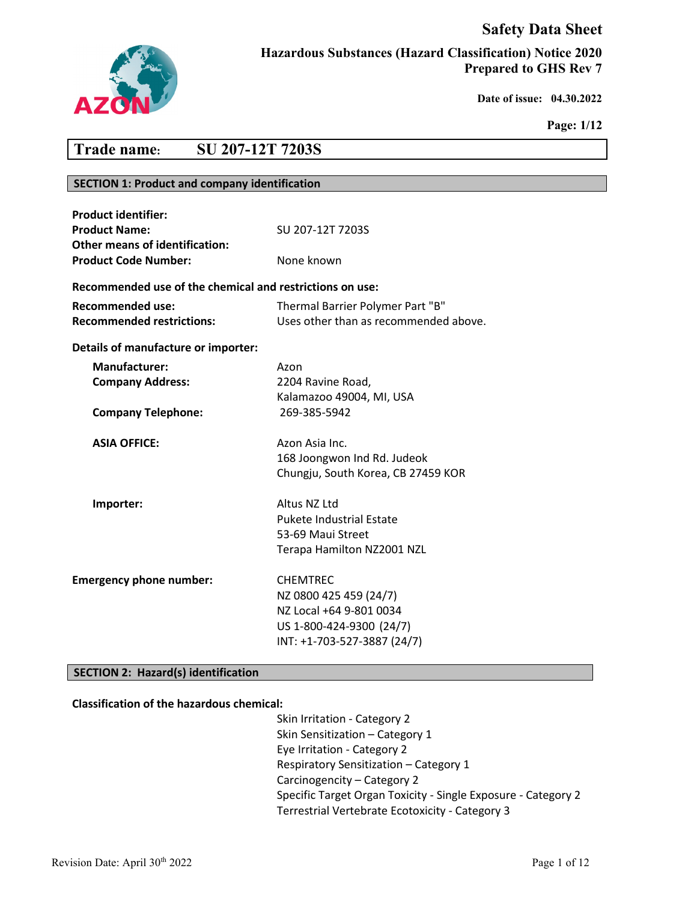# **Safety Data Sheet**



**Hazardous Substances (Hazard Classification) Notice 2020 Prepared to GHS Rev 7**

 **Date of issue: 04.30.2022** 

**Page: 1/12**

# **Trade name: SU 207-12T 7203S**

# **SECTION 1: Product and company identification**

| <b>Product identifier:</b><br><b>Product Name:</b><br>Other means of identification: | SU 207-12T 7203S                                                                                                                |
|--------------------------------------------------------------------------------------|---------------------------------------------------------------------------------------------------------------------------------|
| <b>Product Code Number:</b>                                                          | None known                                                                                                                      |
| Recommended use of the chemical and restrictions on use:                             |                                                                                                                                 |
| <b>Recommended use:</b><br><b>Recommended restrictions:</b>                          | Thermal Barrier Polymer Part "B"<br>Uses other than as recommended above.                                                       |
| Details of manufacture or importer:                                                  |                                                                                                                                 |
| <b>Manufacturer:</b><br><b>Company Address:</b>                                      | Azon<br>2204 Ravine Road,<br>Kalamazoo 49004, MI, USA                                                                           |
| <b>Company Telephone:</b>                                                            | 269-385-5942                                                                                                                    |
| <b>ASIA OFFICE:</b>                                                                  | Azon Asia Inc.<br>168 Joongwon Ind Rd. Judeok<br>Chungju, South Korea, CB 27459 KOR                                             |
| Importer:                                                                            | Altus NZ Ltd<br><b>Pukete Industrial Estate</b><br>53-69 Maui Street<br>Terapa Hamilton NZ2001 NZL                              |
| <b>Emergency phone number:</b>                                                       | <b>CHEMTREC</b><br>NZ 0800 425 459 (24/7)<br>NZ Local +64 9-801 0034<br>US 1-800-424-9300 (24/7)<br>INT: +1-703-527-3887 (24/7) |

# **SECTION 2: Hazard(s) identification**

# **Classification of the hazardous chemical:**

Skin Irritation - Category 2 Skin Sensitization – Category 1 Eye Irritation - Category 2 Respiratory Sensitization – Category 1 Carcinogencity – Category 2 Specific Target Organ Toxicity - Single Exposure - Category 2 Terrestrial Vertebrate Ecotoxicity - Category 3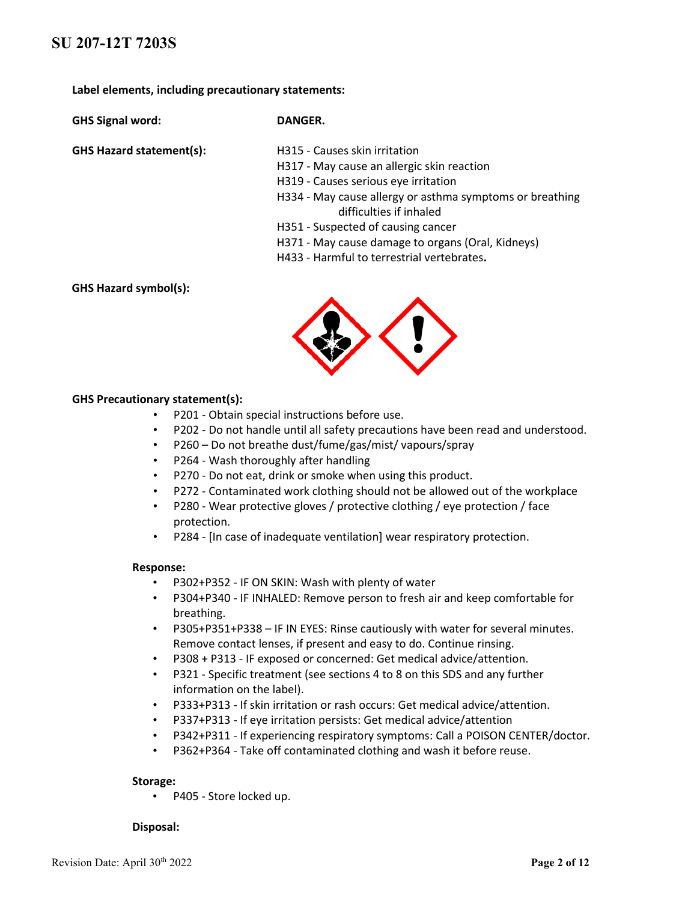**Label elements, including precautionary statements:**

**GHS Signal word: DANGER.**

- **GHS Hazard statement(s):** H315 Causes skin irritation
	- H317 May cause an allergic skin reaction
	- H319 Causes serious eye irritation
	- H334 May cause allergy or asthma symptoms or breathing difficulties if inhaled
	- H351 Suspected of causing cancer
	- H371 May cause damage to organs (Oral, Kidneys)
	- H433 Harmful to terrestrial vertebrates**.**

**GHS Hazard symbol(s):**



### **GHS Precautionary statement(s):**

- P201 Obtain special instructions before use.
- P202 Do not handle until all safety precautions have been read and understood.
- P260 Do not breathe dust/fume/gas/mist/ vapours/spray
- P264 Wash thoroughly after handling
- P270 Do not eat, drink or smoke when using this product.
- P272 Contaminated work clothing should not be allowed out of the workplace
- P280 Wear protective gloves / protective clothing / eye protection / face protection.
- P284 [In case of inadequate ventilation] wear respiratory protection.

#### **Response:**

- P302+P352 IF ON SKIN: Wash with plenty of water
- P304+P340 IF INHALED: Remove person to fresh air and keep comfortable for breathing.
- P305+P351+P338 IF IN EYES: Rinse cautiously with water for several minutes. Remove contact lenses, if present and easy to do. Continue rinsing.
- P308 + P313 IF exposed or concerned: Get medical advice/attention.
- P321 Specific treatment (see sections 4 to 8 on this SDS and any further information on the label).
- P333+P313 If skin irritation or rash occurs: Get medical advice/attention.
- P337+P313 If eye irritation persists: Get medical advice/attention
- P342+P311 If experiencing respiratory symptoms: Call a POISON CENTER/doctor.
- P362+P364 Take off contaminated clothing and wash it before reuse.

#### **Storage:**

• P405 - Store locked up.

#### **Disposal:**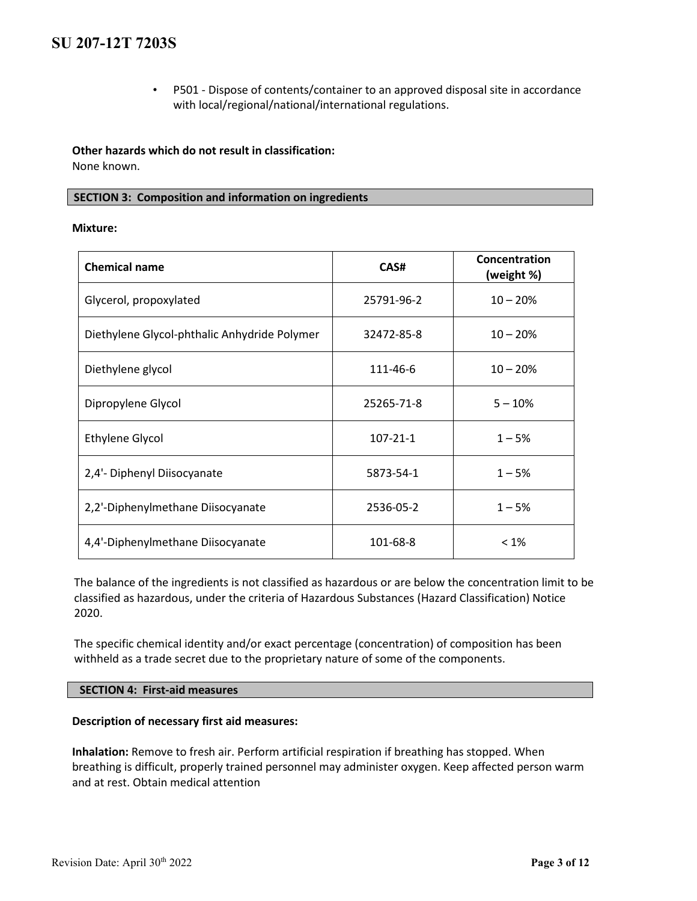• P501 - Dispose of contents/container to an approved disposal site in accordance with local/regional/national/international regulations.

**Other hazards which do not result in classification:**  None known.

# **SECTION 3: Composition and information on ingredients**

### **Mixture:**

| <b>Chemical name</b>                         | CAS#           | Concentration<br>(weight %) |
|----------------------------------------------|----------------|-----------------------------|
| Glycerol, propoxylated                       | 25791-96-2     | $10 - 20%$                  |
| Diethylene Glycol-phthalic Anhydride Polymer | 32472-85-8     | $10 - 20%$                  |
| Diethylene glycol                            | 111-46-6       | $10 - 20%$                  |
| Dipropylene Glycol                           | 25265-71-8     | $5 - 10%$                   |
| <b>Ethylene Glycol</b>                       | $107 - 21 - 1$ | $1 - 5%$                    |
| 2,4'- Diphenyl Diisocyanate                  | 5873-54-1      | $1 - 5%$                    |
| 2,2'-Diphenylmethane Diisocyanate            | 2536-05-2      | $1 - 5%$                    |
| 4,4'-Diphenylmethane Diisocyanate            | 101-68-8       | $< 1\%$                     |

The balance of the ingredients is not classified as hazardous or are below the concentration limit to be classified as hazardous, under the criteria of Hazardous Substances (Hazard Classification) Notice 2020.

The specific chemical identity and/or exact percentage (concentration) of composition has been withheld as a trade secret due to the proprietary nature of some of the components.

# **SECTION 4: First-aid measures**

# **Description of necessary first aid measures:**

**Inhalation:** Remove to fresh air. Perform artificial respiration if breathing has stopped. When breathing is difficult, properly trained personnel may administer oxygen. Keep affected person warm and at rest. Obtain medical attention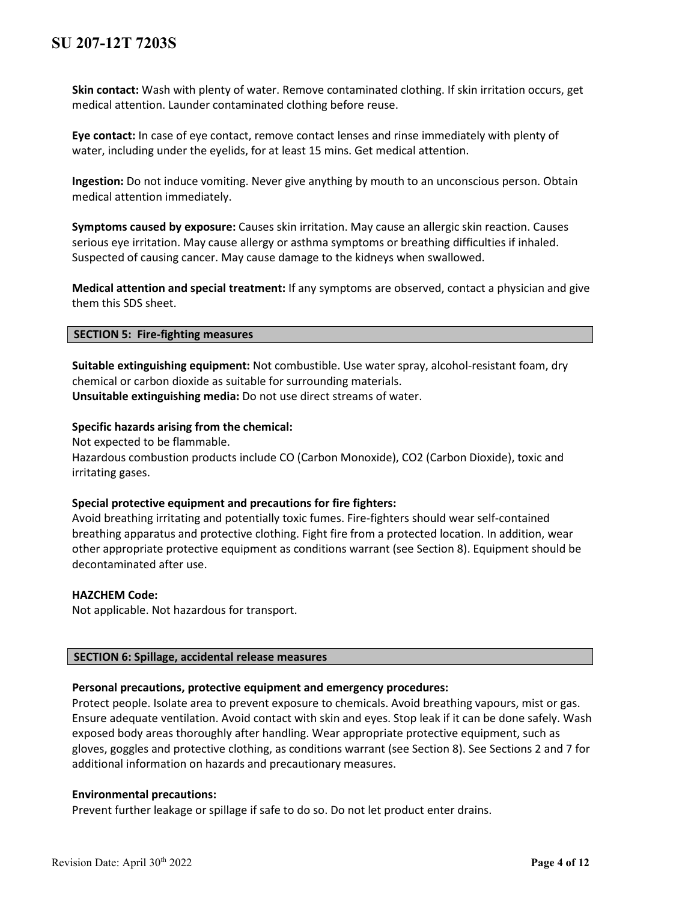**Skin contact:** Wash with plenty of water. Remove contaminated clothing. If skin irritation occurs, get medical attention. Launder contaminated clothing before reuse.

**Eye contact:** In case of eye contact, remove contact lenses and rinse immediately with plenty of water, including under the eyelids, for at least 15 mins. Get medical attention.

**Ingestion:** Do not induce vomiting. Never give anything by mouth to an unconscious person. Obtain medical attention immediately.

**Symptoms caused by exposure:** Causes skin irritation. May cause an allergic skin reaction. Causes serious eye irritation. May cause allergy or asthma symptoms or breathing difficulties if inhaled. Suspected of causing cancer. May cause damage to the kidneys when swallowed.

**Medical attention and special treatment:** If any symptoms are observed, contact a physician and give them this SDS sheet.

### **SECTION 5: Fire-fighting measures**

**Suitable extinguishing equipment:** Not combustible. Use water spray, alcohol-resistant foam, dry chemical or carbon dioxide as suitable for surrounding materials. **Unsuitable extinguishing media:** Do not use direct streams of water.

### **Specific hazards arising from the chemical:**

Not expected to be flammable.

Hazardous combustion products include CO (Carbon Monoxide), CO2 (Carbon Dioxide), toxic and irritating gases.

# **Special protective equipment and precautions for fire fighters:**

Avoid breathing irritating and potentially toxic fumes. Fire-fighters should wear self-contained breathing apparatus and protective clothing. Fight fire from a protected location. In addition, wear other appropriate protective equipment as conditions warrant (see Section 8). Equipment should be decontaminated after use.

#### **HAZCHEM Code:**

Not applicable. Not hazardous for transport.

# **SECTION 6: Spillage, accidental release measures**

# **Personal precautions, protective equipment and emergency procedures:**

Protect people. Isolate area to prevent exposure to chemicals. Avoid breathing vapours, mist or gas. Ensure adequate ventilation. Avoid contact with skin and eyes. Stop leak if it can be done safely. Wash exposed body areas thoroughly after handling. Wear appropriate protective equipment, such as gloves, goggles and protective clothing, as conditions warrant (see Section 8). See Sections 2 and 7 for additional information on hazards and precautionary measures.

# **Environmental precautions:**

Prevent further leakage or spillage if safe to do so. Do not let product enter drains.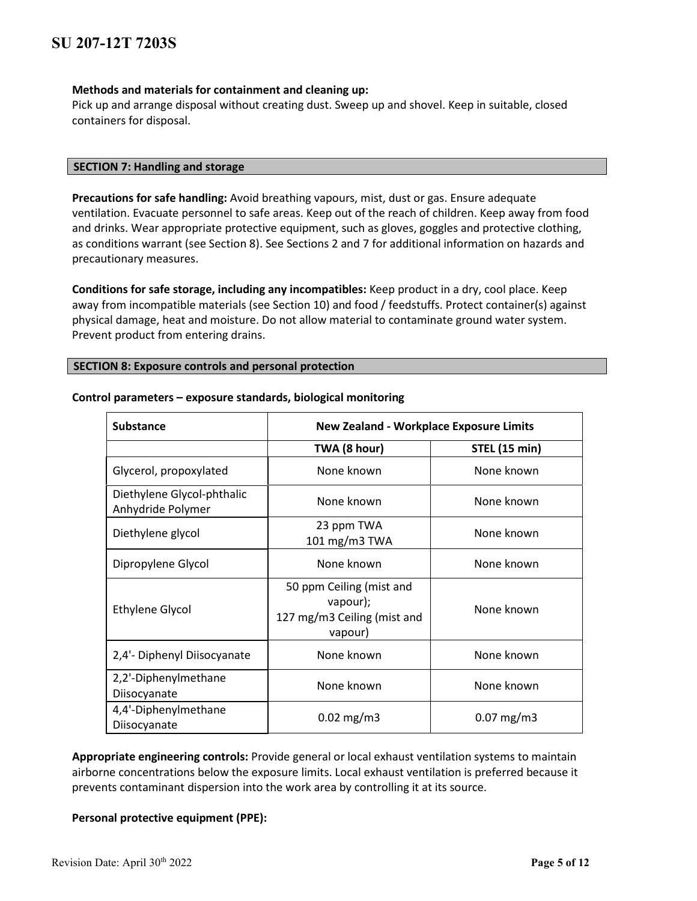# **Methods and materials for containment and cleaning up:**

Pick up and arrange disposal without creating dust. Sweep up and shovel. Keep in suitable, closed containers for disposal.

# **SECTION 7: Handling and storage**

**Precautions for safe handling:** Avoid breathing vapours, mist, dust or gas. Ensure adequate ventilation. Evacuate personnel to safe areas. Keep out of the reach of children. Keep away from food and drinks. Wear appropriate protective equipment, such as gloves, goggles and protective clothing, as conditions warrant (see Section 8). See Sections 2 and 7 for additional information on hazards and precautionary measures.

**Conditions for safe storage, including any incompatibles:** Keep product in a dry, cool place. Keep away from incompatible materials (see Section 10) and food / feedstuffs. Protect container(s) against physical damage, heat and moisture. Do not allow material to contaminate ground water system. Prevent product from entering drains.

### **SECTION 8: Exposure controls and personal protection**

| <b>Substance</b>                                | <b>New Zealand - Workplace Exposure Limits</b>                                 |                         |
|-------------------------------------------------|--------------------------------------------------------------------------------|-------------------------|
|                                                 | TWA (8 hour)                                                                   | <b>STEL (15 min)</b>    |
| Glycerol, propoxylated                          | None known                                                                     | None known              |
| Diethylene Glycol-phthalic<br>Anhydride Polymer | None known                                                                     | None known              |
| Diethylene glycol                               | 23 ppm TWA<br>101 mg/m3 TWA                                                    | None known              |
| Dipropylene Glycol                              | None known                                                                     | None known              |
| <b>Ethylene Glycol</b>                          | 50 ppm Ceiling (mist and<br>vapour);<br>127 mg/m3 Ceiling (mist and<br>vapour) | None known              |
| 2,4'- Diphenyl Diisocyanate                     | None known                                                                     | None known              |
| 2,2'-Diphenylmethane<br>Diisocyanate            | None known                                                                     | None known              |
| 4,4'-Diphenylmethane<br>Diisocyanate            | $0.02$ mg/m3                                                                   | $0.07 \,\mathrm{mg/m3}$ |

#### **Control parameters – exposure standards, biological monitoring**

**Appropriate engineering controls:** Provide general or local exhaust ventilation systems to maintain airborne concentrations below the exposure limits. Local exhaust ventilation is preferred because it prevents contaminant dispersion into the work area by controlling it at its source.

# **Personal protective equipment (PPE):**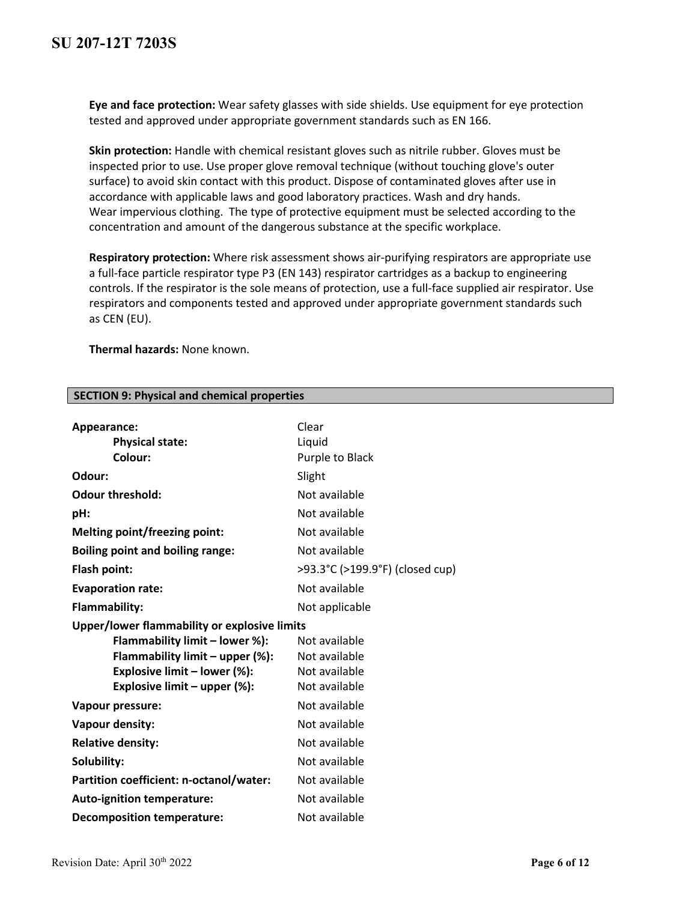**Eye and face protection:** Wear safety glasses with side shields. Use equipment for eye protection tested and approved under appropriate government standards such as EN 166.

**Skin protection:** Handle with chemical resistant gloves such as nitrile rubber. Gloves must be inspected prior to use. Use proper glove removal technique (without touching glove's outer surface) to avoid skin contact with this product. Dispose of contaminated gloves after use in accordance with applicable laws and good laboratory practices. Wash and dry hands. Wear impervious clothing. The type of protective equipment must be selected according to the concentration and amount of the dangerous substance at the specific workplace.

**Respiratory protection:** Where risk assessment shows air-purifying respirators are appropriate use a full-face particle respirator type P3 (EN 143) respirator cartridges as a backup to engineering controls. If the respirator is the sole means of protection, use a full-face supplied air respirator. Use respirators and components tested and approved under appropriate government standards such as CEN (EU).

**Thermal hazards:** None known.

| Appearance:                                  | Clear                           |
|----------------------------------------------|---------------------------------|
| <b>Physical state:</b>                       | Liquid                          |
| Colour:                                      | Purple to Black                 |
| Odour:                                       | Slight                          |
| <b>Odour threshold:</b>                      | Not available                   |
| pH:                                          | Not available                   |
| Melting point/freezing point:                | Not available                   |
| <b>Boiling point and boiling range:</b>      | Not available                   |
| Flash point:                                 | >93.3°C (>199.9°F) (closed cup) |
| <b>Evaporation rate:</b>                     | Not available                   |
| Flammability:                                | Not applicable                  |
| Upper/lower flammability or explosive limits |                                 |
| Flammability limit - lower %):               | Not available                   |
| Flammability limit - upper (%):              | Not available                   |
| Explosive limit - lower (%):                 | Not available                   |
| Explosive limit - upper (%):                 | Not available                   |
| Vapour pressure:                             | Not available                   |
| Vapour density:                              | Not available                   |
| <b>Relative density:</b>                     | Not available                   |
| Solubility:                                  | Not available                   |
| Partition coefficient: n-octanol/water:      | Not available                   |
| Auto-ignition temperature:                   | Not available                   |
| <b>Decomposition temperature:</b>            | Not available                   |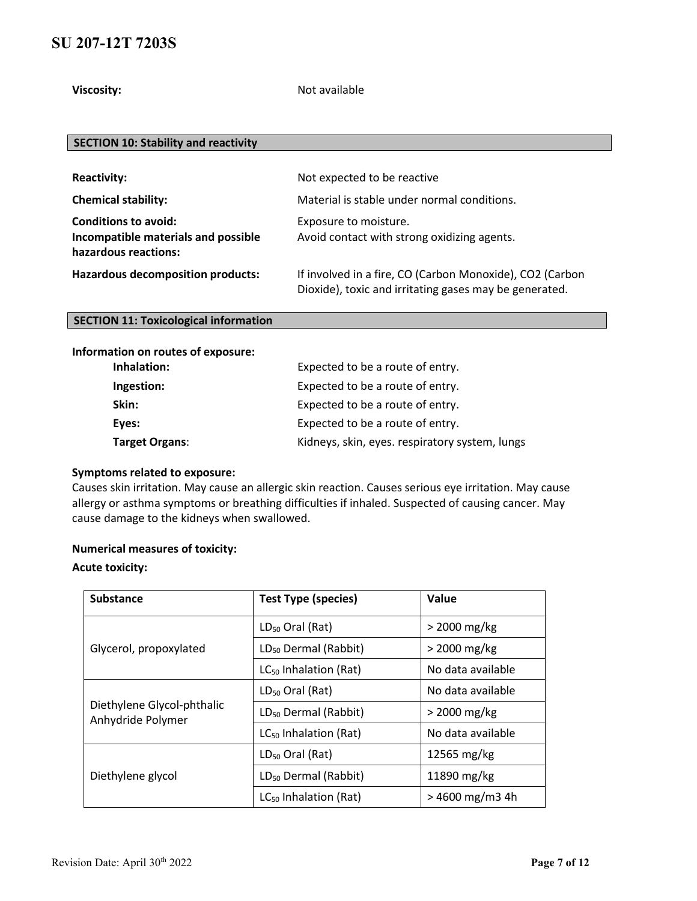**Viscosity:** Not available

# **SECTION 10: Stability and reactivity**

| <b>Reactivity:</b>                                                                         | Not expected to be reactive                                                                                        |
|--------------------------------------------------------------------------------------------|--------------------------------------------------------------------------------------------------------------------|
| <b>Chemical stability:</b>                                                                 | Material is stable under normal conditions.                                                                        |
| <b>Conditions to avoid:</b><br>Incompatible materials and possible<br>hazardous reactions: | Exposure to moisture.<br>Avoid contact with strong oxidizing agents.                                               |
| <b>Hazardous decomposition products:</b>                                                   | If involved in a fire, CO (Carbon Monoxide), CO2 (Carbon<br>Dioxide), toxic and irritating gases may be generated. |

# **SECTION 11: Toxicological information**

# **Information on routes of exposure:**

| Inhalation:    | Expected to be a route of entry.               |
|----------------|------------------------------------------------|
| Ingestion:     | Expected to be a route of entry.               |
| Skin:          | Expected to be a route of entry.               |
| Eyes:          | Expected to be a route of entry.               |
| Target Organs: | Kidneys, skin, eyes. respiratory system, lungs |

### **Symptoms related to exposure:**

Causes skin irritation. May cause an allergic skin reaction. Causes serious eye irritation. May cause allergy or asthma symptoms or breathing difficulties if inhaled. Suspected of causing cancer. May cause damage to the kidneys when swallowed.

# **Numerical measures of toxicity:**

### **Acute toxicity:**

| <b>Substance</b>                                | <b>Test Type (species)</b>        | Value             |
|-------------------------------------------------|-----------------------------------|-------------------|
| Glycerol, propoxylated                          | $LD_{50}$ Oral (Rat)              | > 2000 mg/kg      |
|                                                 | LD <sub>50</sub> Dermal (Rabbit)  | > 2000 mg/kg      |
|                                                 | LC <sub>50</sub> Inhalation (Rat) | No data available |
| Diethylene Glycol-phthalic<br>Anhydride Polymer | $LD_{50}$ Oral (Rat)              | No data available |
|                                                 | LD <sub>50</sub> Dermal (Rabbit)  | > 2000 mg/kg      |
|                                                 | $LC_{50}$ Inhalation (Rat)        | No data available |
| Diethylene glycol                               | $LD_{50}$ Oral (Rat)              | 12565 mg/kg       |
|                                                 | $LD_{50}$ Dermal (Rabbit)         | 11890 mg/kg       |
|                                                 | $LC_{50}$ Inhalation (Rat)        | $>$ 4600 mg/m3 4h |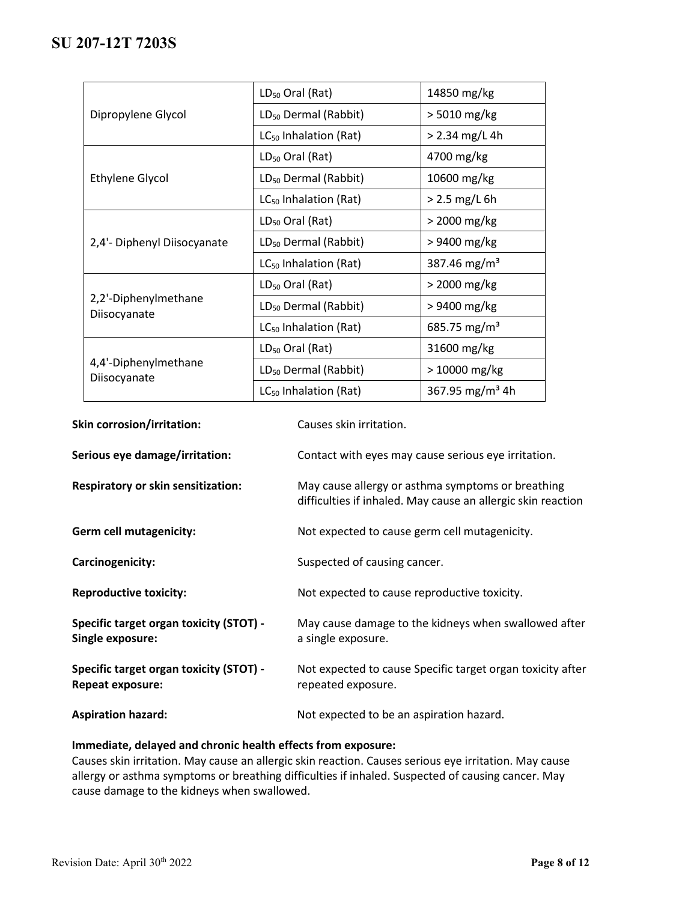| Dipropylene Glycol                   | LD <sub>50</sub> Oral (Rat)       | 14850 mg/kg                 |
|--------------------------------------|-----------------------------------|-----------------------------|
|                                      | LD <sub>50</sub> Dermal (Rabbit)  | > 5010 mg/kg                |
|                                      | LC <sub>50</sub> Inhalation (Rat) | $>$ 2.34 mg/L 4h            |
|                                      | $LD_{50}$ Oral (Rat)              | 4700 mg/kg                  |
| <b>Ethylene Glycol</b>               | LD <sub>50</sub> Dermal (Rabbit)  | 10600 mg/kg                 |
|                                      | $LC_{50}$ Inhalation (Rat)        | > 2.5 mg/L 6h               |
| 2,4'- Diphenyl Diisocyanate          | $LD_{50}$ Oral (Rat)              | > 2000 mg/kg                |
|                                      | LD <sub>50</sub> Dermal (Rabbit)  | > 9400 mg/kg                |
|                                      | LC <sub>50</sub> Inhalation (Rat) | 387.46 mg/m <sup>3</sup>    |
| 2,2'-Diphenylmethane<br>Diisocyanate | $LD_{50}$ Oral (Rat)              | > 2000 mg/kg                |
|                                      | LD <sub>50</sub> Dermal (Rabbit)  | > 9400 mg/kg                |
|                                      | $LC_{50}$ Inhalation (Rat)        | 685.75 mg/m <sup>3</sup>    |
| 4,4'-Diphenylmethane<br>Diisocyanate | LD <sub>50</sub> Oral (Rat)       | 31600 mg/kg                 |
|                                      | LD <sub>50</sub> Dermal (Rabbit)  | > 10000 mg/kg               |
|                                      | LC <sub>50</sub> Inhalation (Rat) | 367.95 mg/m <sup>3</sup> 4h |

| <b>Skin corrosion/irritation:</b>                                  | Causes skin irritation.                                                                                           |
|--------------------------------------------------------------------|-------------------------------------------------------------------------------------------------------------------|
| Serious eye damage/irritation:                                     | Contact with eyes may cause serious eye irritation.                                                               |
| <b>Respiratory or skin sensitization:</b>                          | May cause allergy or asthma symptoms or breathing<br>difficulties if inhaled. May cause an allergic skin reaction |
| <b>Germ cell mutagenicity:</b>                                     | Not expected to cause germ cell mutagenicity.                                                                     |
| Carcinogenicity:                                                   | Suspected of causing cancer.                                                                                      |
| <b>Reproductive toxicity:</b>                                      | Not expected to cause reproductive toxicity.                                                                      |
| Specific target organ toxicity (STOT) -<br>Single exposure:        | May cause damage to the kidneys when swallowed after<br>a single exposure.                                        |
| Specific target organ toxicity (STOT) -<br><b>Repeat exposure:</b> | Not expected to cause Specific target organ toxicity after<br>repeated exposure.                                  |
| <b>Aspiration hazard:</b>                                          | Not expected to be an aspiration hazard.                                                                          |

# **Immediate, delayed and chronic health effects from exposure:**

Causes skin irritation. May cause an allergic skin reaction. Causes serious eye irritation. May cause allergy or asthma symptoms or breathing difficulties if inhaled. Suspected of causing cancer. May cause damage to the kidneys when swallowed.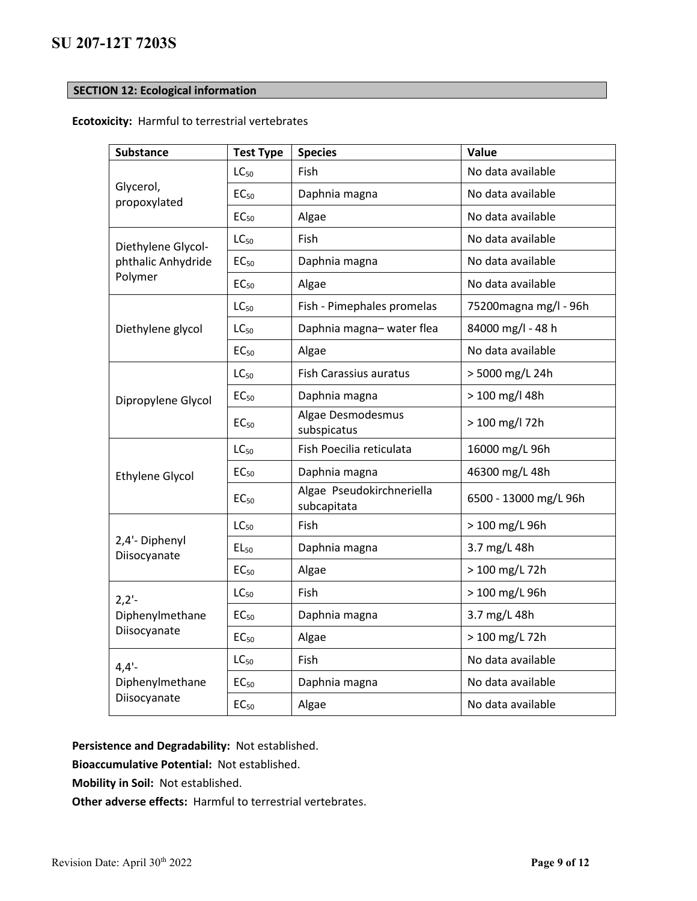# **SECTION 12: Ecological information**

# **Ecotoxicity:** Harmful to terrestrial vertebrates

| <b>Substance</b>                            | <b>Test Type</b> | <b>Species</b>                           | Value                  |
|---------------------------------------------|------------------|------------------------------------------|------------------------|
| Glycerol,<br>propoxylated                   | $LC_{50}$        | Fish                                     | No data available      |
|                                             | EC <sub>50</sub> | Daphnia magna                            | No data available      |
|                                             | EC <sub>50</sub> | Algae                                    | No data available      |
| Diethylene Glycol-                          | $LC_{50}$        | Fish                                     | No data available      |
| phthalic Anhydride                          | EC <sub>50</sub> | Daphnia magna                            | No data available      |
| Polymer                                     | EC <sub>50</sub> | Algae                                    | No data available      |
|                                             | $LC_{50}$        | Fish - Pimephales promelas               | 75200 magna mg/l - 96h |
| Diethylene glycol                           | $LC_{50}$        | Daphnia magna-water flea                 | 84000 mg/l - 48 h      |
|                                             | EC <sub>50</sub> | Algae                                    | No data available      |
| Dipropylene Glycol                          | $LC_{50}$        | <b>Fish Carassius auratus</b>            | > 5000 mg/L 24h        |
|                                             | EC <sub>50</sub> | Daphnia magna                            | > 100 mg/l 48h         |
|                                             | EC <sub>50</sub> | Algae Desmodesmus<br>subspicatus         | > 100 mg/l 72h         |
| <b>Ethylene Glycol</b>                      | $LC_{50}$        | Fish Poecilia reticulata                 | 16000 mg/L 96h         |
|                                             | EC <sub>50</sub> | Daphnia magna                            | 46300 mg/L 48h         |
|                                             | EC <sub>50</sub> | Algae Pseudokirchneriella<br>subcapitata | 6500 - 13000 mg/L 96h  |
|                                             | LC <sub>50</sub> | Fish                                     | > 100 mg/L 96h         |
| 2,4'- Diphenyl<br>Diisocyanate              | $EL_{50}$        | Daphnia magna                            | 3.7 mg/L 48h           |
|                                             | EC <sub>50</sub> | Algae                                    | > 100 mg/L 72h         |
| $2,2'$ -<br>Diphenylmethane<br>Diisocyanate | $LC_{50}$        | Fish                                     | > 100 mg/L 96h         |
|                                             | EC <sub>50</sub> | Daphnia magna                            | 3.7 mg/L 48h           |
|                                             | EC <sub>50</sub> | Algae                                    | > 100 mg/L 72h         |
| $4,4'$ -                                    | LC <sub>50</sub> | Fish                                     | No data available      |
| Diphenylmethane                             | EC <sub>50</sub> | Daphnia magna                            | No data available      |
| Diisocyanate                                | EC <sub>50</sub> | Algae                                    | No data available      |

**Persistence and Degradability:** Not established.

**Bioaccumulative Potential:** Not established.

**Mobility in Soil:** Not established.

**Other adverse effects:** Harmful to terrestrial vertebrates.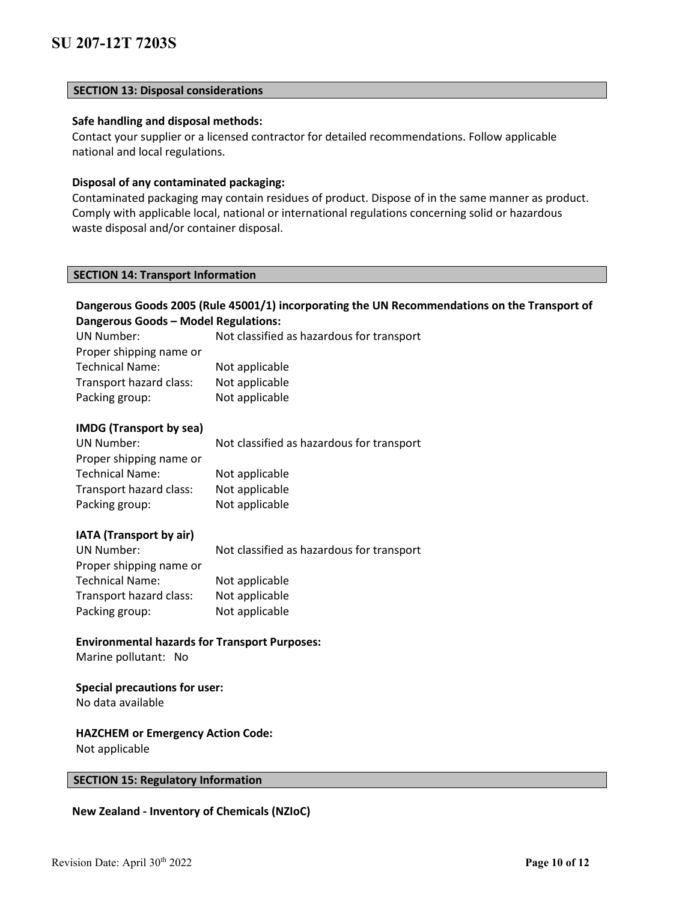# **SECTION 13: Disposal considerations**

# **Safe handling and disposal methods:**

Contact your supplier or a licensed contractor for detailed recommendations. Follow applicable national and local regulations.

#### **Disposal of any contaminated packaging:**

Contaminated packaging may contain residues of product. Dispose of in the same manner as product. Comply with applicable local, national or international regulations concerning solid or hazardous waste disposal and/or container disposal.

# **SECTION 14: Transport Information**

| Dangerous Goods 2005 (Rule 45001/1) incorporating the UN Recommendations on the Transport of<br>Dangerous Goods - Model Regulations:<br><b>UN Number:</b><br>Not classified as hazardous for transport<br>Proper shipping name or<br><b>Technical Name:</b><br>Not applicable<br>Transport hazard class:<br>Not applicable<br>Packing group:<br>Not applicable |                                                                                                 |  |
|----------------------------------------------------------------------------------------------------------------------------------------------------------------------------------------------------------------------------------------------------------------------------------------------------------------------------------------------------------------|-------------------------------------------------------------------------------------------------|--|
| <b>IMDG</b> (Transport by sea)<br><b>UN Number:</b><br>Proper shipping name or<br><b>Technical Name:</b><br>Transport hazard class:<br>Packing group:                                                                                                                                                                                                          | Not classified as hazardous for transport<br>Not applicable<br>Not applicable<br>Not applicable |  |
| IATA (Transport by air)<br><b>UN Number:</b><br>Proper shipping name or<br><b>Technical Name:</b><br>Transport hazard class:<br>Packing group:                                                                                                                                                                                                                 | Not classified as hazardous for transport<br>Not applicable<br>Not applicable<br>Not applicable |  |
| <b>Environmental hazards for Transport Purposes:</b><br>Marine pollutant: No                                                                                                                                                                                                                                                                                   |                                                                                                 |  |
| <b>Special precautions for user:</b><br>No data available<br><b>HAZCHEM or Emergency Action Code:</b><br>Not applicable                                                                                                                                                                                                                                        |                                                                                                 |  |
| <b>SECTION 15: Regulatory Information</b>                                                                                                                                                                                                                                                                                                                      |                                                                                                 |  |

**New Zealand - Inventory of Chemicals (NZIoC)**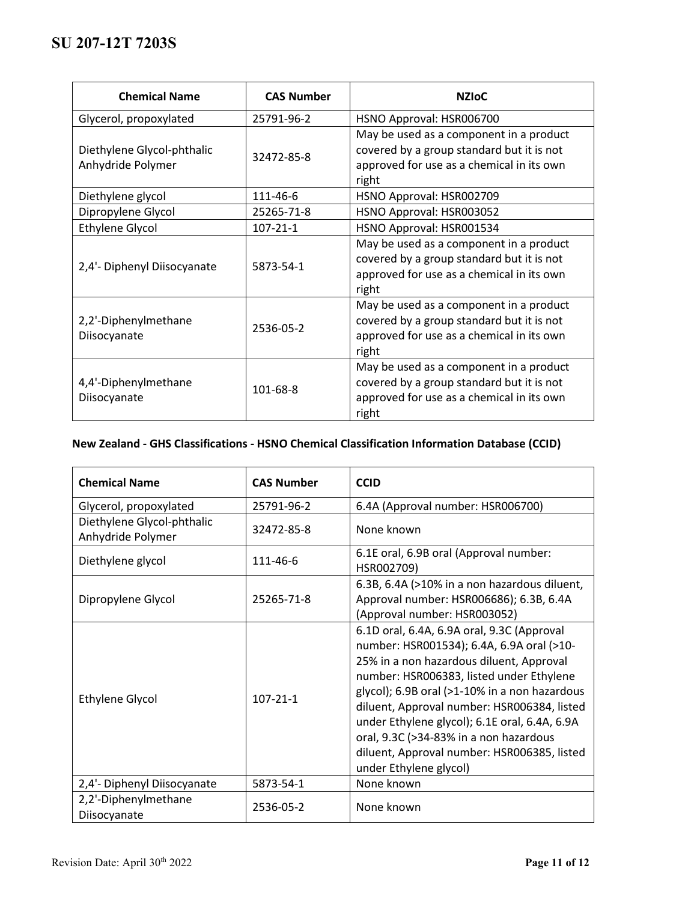| <b>Chemical Name</b>                            | <b>CAS Number</b> | <b>NZIOC</b>                                                                                                                               |
|-------------------------------------------------|-------------------|--------------------------------------------------------------------------------------------------------------------------------------------|
| Glycerol, propoxylated                          | 25791-96-2        | HSNO Approval: HSR006700                                                                                                                   |
| Diethylene Glycol-phthalic<br>Anhydride Polymer | 32472-85-8        | May be used as a component in a product<br>covered by a group standard but it is not<br>approved for use as a chemical in its own<br>right |
| Diethylene glycol                               | 111-46-6          | HSNO Approval: HSR002709                                                                                                                   |
| Dipropylene Glycol                              | 25265-71-8        | HSNO Approval: HSR003052                                                                                                                   |
| <b>Ethylene Glycol</b>                          | $107 - 21 - 1$    | HSNO Approval: HSR001534                                                                                                                   |
| 2,4'- Diphenyl Diisocyanate                     | 5873-54-1         | May be used as a component in a product<br>covered by a group standard but it is not<br>approved for use as a chemical in its own<br>right |
| 2,2'-Diphenylmethane<br>Diisocyanate            | 2536-05-2         | May be used as a component in a product<br>covered by a group standard but it is not<br>approved for use as a chemical in its own<br>right |
| 4,4'-Diphenylmethane<br>Diisocyanate            | 101-68-8          | May be used as a component in a product<br>covered by a group standard but it is not<br>approved for use as a chemical in its own<br>right |

# **New Zealand - GHS Classifications - HSNO Chemical Classification Information Database (CCID)**

| <b>Chemical Name</b>                            | <b>CAS Number</b> | <b>CCID</b>                                                                                                                                                                                                                                                                                                                                                                                                                                         |
|-------------------------------------------------|-------------------|-----------------------------------------------------------------------------------------------------------------------------------------------------------------------------------------------------------------------------------------------------------------------------------------------------------------------------------------------------------------------------------------------------------------------------------------------------|
| Glycerol, propoxylated                          | 25791-96-2        | 6.4A (Approval number: HSR006700)                                                                                                                                                                                                                                                                                                                                                                                                                   |
| Diethylene Glycol-phthalic<br>Anhydride Polymer | 32472-85-8        | None known                                                                                                                                                                                                                                                                                                                                                                                                                                          |
| Diethylene glycol                               | 111-46-6          | 6.1E oral, 6.9B oral (Approval number:<br>HSR002709)                                                                                                                                                                                                                                                                                                                                                                                                |
| Dipropylene Glycol                              | 25265-71-8        | 6.3B, 6.4A (>10% in a non hazardous diluent,<br>Approval number: HSR006686); 6.3B, 6.4A<br>(Approval number: HSR003052)                                                                                                                                                                                                                                                                                                                             |
| <b>Ethylene Glycol</b>                          | $107 - 21 - 1$    | 6.1D oral, 6.4A, 6.9A oral, 9.3C (Approval<br>number: HSR001534); 6.4A, 6.9A oral (>10-<br>25% in a non hazardous diluent, Approval<br>number: HSR006383, listed under Ethylene<br>glycol); 6.9B oral (>1-10% in a non hazardous<br>diluent, Approval number: HSR006384, listed<br>under Ethylene glycol); 6.1E oral, 6.4A, 6.9A<br>oral, 9.3C (>34-83% in a non hazardous<br>diluent, Approval number: HSR006385, listed<br>under Ethylene glycol) |
| 2,4'- Diphenyl Diisocyanate                     | 5873-54-1         | None known                                                                                                                                                                                                                                                                                                                                                                                                                                          |
| 2,2'-Diphenylmethane<br>Diisocyanate            | 2536-05-2         | None known                                                                                                                                                                                                                                                                                                                                                                                                                                          |